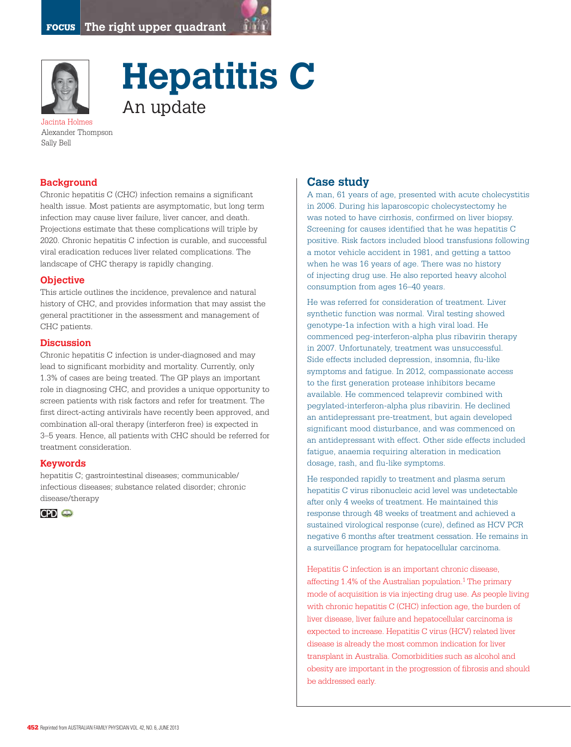



# **Hepatitis C** An update

Jacinta Holmes Alexander Thompson Sally Bell

## **Background**

Chronic hepatitis C (CHC) infection remains a significant health issue. Most patients are asymptomatic, but long term infection may cause liver failure, liver cancer, and death. Projections estimate that these complications will triple by 2020. Chronic hepatitis C infection is curable, and successful viral eradication reduces liver related complications. The landscape of CHC therapy is rapidly changing.

## **Objective**

This article outlines the incidence, prevalence and natural history of CHC, and provides information that may assist the general practitioner in the assessment and management of CHC patients.

## **Discussion**

Chronic hepatitis C infection is under-diagnosed and may lead to significant morbidity and mortality. Currently, only 1.3% of cases are being treated. The GP plays an important role in diagnosing CHC, and provides a unique opportunity to screen patients with risk factors and refer for treatment. The first direct-acting antivirals have recently been approved, and combination all-oral therapy (interferon free) is expected in 3–5 years. Hence, all patients with CHC should be referred for treatment consideration.

#### **Keywords**

hepatitis C; gastrointestinal diseases; communicable/ infectious diseases; substance related disorder; chronic disease/therapy



# **Case study**

A man, 61 years of age, presented with acute cholecystitis in 2006. During his laparoscopic cholecystectomy he was noted to have cirrhosis, confirmed on liver biopsy. Screening for causes identified that he was hepatitis C positive. Risk factors included blood transfusions following a motor vehicle accident in 1981, and getting a tattoo when he was 16 years of age. There was no history of injecting drug use. He also reported heavy alcohol consumption from ages 16–40 years.

He was referred for consideration of treatment. Liver synthetic function was normal. Viral testing showed genotype-1a infection with a high viral load. He commenced peg-interferon-alpha plus ribavirin therapy in 2007. Unfortunately, treatment was unsuccessful. Side effects included depression, insomnia, flu-like symptoms and fatigue. In 2012, compassionate access to the first generation protease inhibitors became available. He commenced telaprevir combined with pegylated-interferon-alpha plus ribavirin. He declined an antidepressant pre-treatment, but again developed significant mood disturbance, and was commenced on an antidepressant with effect. Other side effects included fatigue, anaemia requiring alteration in medication dosage, rash, and flu-like symptoms.

He responded rapidly to treatment and plasma serum hepatitis C virus ribonucleic acid level was undetectable after only 4 weeks of treatment. He maintained this response through 48 weeks of treatment and achieved a sustained virological response (cure), defined as HCV PCR negative 6 months after treatment cessation. He remains in a surveillance program for hepatocellular carcinoma.

Hepatitis C infection is an important chronic disease, affecting 1.4% of the Australian population.<sup>1</sup> The primary mode of acquisition is via injecting drug use. As people living with chronic hepatitis C (CHC) infection age, the burden of liver disease, liver failure and hepatocellular carcinoma is expected to increase. Hepatitis C virus (HCV) related liver disease is already the most common indication for liver transplant in Australia. Comorbidities such as alcohol and obesity are important in the progression of fibrosis and should be addressed early.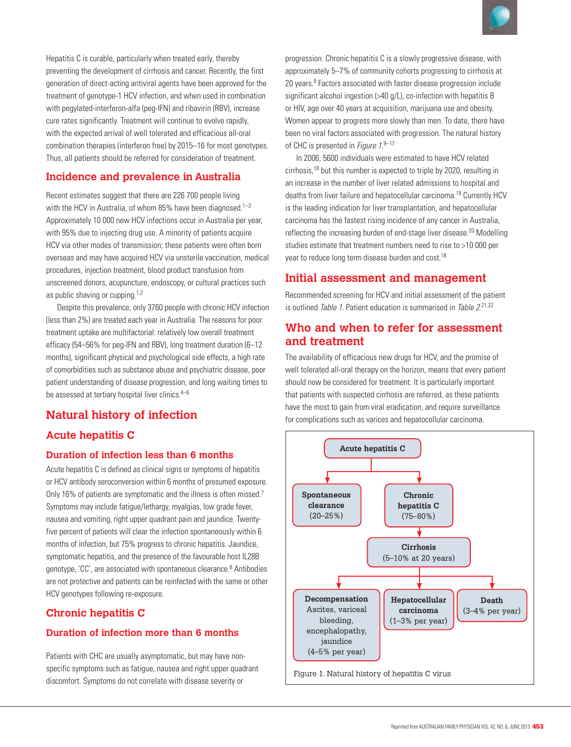

Hepatitis C is curable, particularly when treated early, thereby preventing the development of cirrhosis and cancer. Recently, the first generation of direct-acting antiviral agents have been approved for the treatment of genotype-1 HCV infection, and when used in combination with pegylated-interferon-alfa (peg-IFN) and ribavirin (RBV), increase cure rates significantly. Treatment will continue to evolve rapidly, with the expected arrival of well tolerated and efficacious all-oral combination therapies (interferon free) by 2015–16 for most genotypes. Thus, all patients should be referred for consideration of treatment.

# **Incidence and prevalence in Australia**

Recent estimates suggest that there are 226 700 people living with the HCV in Australia, of whom 85% have been diagnosed.<sup>1-3</sup> Approximately 10 000 new HCV infections occur in Australia per year, with 95% due to injecting drug use. A minority of patients acquire HCV via other modes of transmission; these patients were often born overseas and may have acquired HCV via unsterile vaccination, medical procedures, injection treatment, blood product transfusion from unscreened donors, acupuncture, endoscopy, or cultural practices such as public shaving or cupping.1,2

Despite this prevalence, only 3760 people with chronic HCV infection (less than 2%) are treated each year in Australia. The reasons for poor treatment uptake are multifactorial: relatively low overall treatment efficacy (54–56% for peg-IFN and RBV), long treatment duration (6–12 months), significant physical and psychological side effects, a high rate of comorbidities such as substance abuse and psychiatric disease, poor patient understanding of disease progression, and long waiting times to be assessed at tertiary hospital liver clinics.<sup>4–6</sup>

# **Natural history of infection**

## **Acute hepatitis C**

## **Duration of infection less than 6 months**

Acute hepatitis C is defined as clinical signs or symptoms of hepatitis or HCV antibody seroconversion within 6 months of presumed exposure. Only 16% of patients are symptomatic and the illness is often missed.<sup>7</sup> Symptoms may include fatigue/lethargy, myalgias, low grade fever, nausea and vomiting, right upper quadrant pain and jaundice. Twentyfive percent of patients will clear the infection spontaneously within 6 months of infection, but 75% progress to chronic hepatitis. Jaundice, symptomatic hepatitis, and the presence of the favourable host IL28B genotype, 'CC', are associated with spontaneous clearance.<sup>8</sup> Antibodies are not protective and patients can be reinfected with the same or other HCV genotypes following re-exposure.

# **Chronic hepatitis C**

## **Duration of infection more than 6 months**

Patients with CHC are usually asymptomatic, but may have nonspecific symptoms such as fatigue, nausea and right upper quadrant discomfort. Symptoms do not correlate with disease severity or

progression. Chronic hepatitis C is a slowly progressive disease, with approximately 5–7% of community cohorts progressing to cirrhosis at 20 years.<sup>9</sup> Factors associated with faster disease progression include significant alcohol ingestion (>40 g/L), co-infection with hepatitis B or HIV, age over 40 years at acquisition, marijuana use and obesity. Women appear to progress more slowly than men. To date, there have been no viral factors associated with progression. The natural history of CHC is presented in Figure 1.9-17

In 2006, 5600 individuals were estimated to have HCV related cirrhosis,18 but this number is expected to triple by 2020, resulting in an increase in the number of liver related admissions to hospital and deaths from liver failure and hepatocellular carcinoma.19 Currently HCV is the leading indication for liver transplantation, and hepatocellular carcinoma has the fastest rising incidence of any cancer in Australia, reflecting the increasing burden of end-stage liver disease.<sup>20</sup> Modelling studies estimate that treatment numbers need to rise to >10 000 per year to reduce long term disease burden and cost.<sup>18</sup>

# **Initial assessment and management**

Recommended screening for HCV and initial assessment of the patient is outlined Table 1. Patient education is summarised in Table 2.<sup>21,22</sup>

# **Who and when to refer for assessment and treatment**

The availability of efficacious new drugs for HCV, and the promise of well tolerated all-oral therapy on the horizon, means that every patient should now be considered for treatment. It is particularly important that patients with suspected cirrhosis are referred, as these patients have the most to gain from viral eradication, and require surveillance for complications such as varices and hepatocellular carcinoma.

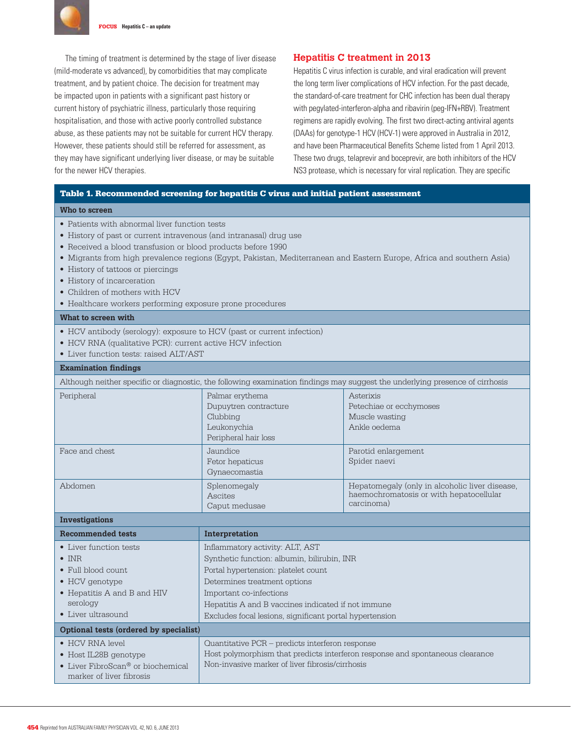

 The timing of treatment is determined by the stage of liver disease (mild-moderate vs advanced), by comorbidities that may complicate treatment, and by patient choice. The decision for treatment may be impacted upon in patients with a significant past history or current history of psychiatric illness, particularly those requiring hospitalisation, and those with active poorly controlled substance abuse, as these patients may not be suitable for current HCV therapy. However, these patients should still be referred for assessment, as they may have significant underlying liver disease, or may be suitable for the newer HCV therapies.

#### **Hepatitis C treatment in 2013**

Hepatitis C virus infection is curable, and viral eradication will prevent the long term liver complications of HCV infection. For the past decade, the standard-of-care treatment for CHC infection has been dual therapy with pegylated-interferon-alpha and ribavirin (peg-IFN+RBV). Treatment regimens are rapidly evolving. The first two direct-acting antiviral agents (DAAs) for genotype-1 HCV (HCV-1) were approved in Australia in 2012, and have been Pharmaceutical Benefits Scheme listed from 1 April 2013. These two drugs, telaprevir and boceprevir, are both inhibitors of the HCV NS3 protease, which is necessary for viral replication. They are specific

#### Table 1. Recommended screening for hepatitis C virus and initial patient assessment

#### **Who to screen**

- Patients with abnormal liver function tests
- History of past or current intravenous (and intranasal) drug use
- Received a blood transfusion or blood products before 1990
- • Migrants from high prevalence regions (Egypt, Pakistan, Mediterranean and Eastern Europe, Africa and southern Asia)
- History of tattoos or piercings
- History of incarceration
- Children of mothers with HCV
- Healthcare workers performing exposure prone procedures

#### **What to screen with**

- HCV antibody (serology): exposure to HCV (past or current infection)
- HCV RNA (qualitative PCR): current active HCV infection
- Liver function tests: raised ALT/AST

#### **Examination findings**

| Although neither specific or diagnostic, the following examination findings may suggest the underlying presence of cirrhosis |                                                                                             |                                                                                                         |  |  |  |
|------------------------------------------------------------------------------------------------------------------------------|---------------------------------------------------------------------------------------------|---------------------------------------------------------------------------------------------------------|--|--|--|
| Peripheral                                                                                                                   | Palmar erythema<br>Dupuytren contracture<br>Clubbing<br>Leukonychia<br>Peripheral hair loss | Asterixis<br>Petechiae or ecchymoses<br>Muscle wasting<br>Ankle oedema                                  |  |  |  |
| Face and chest.                                                                                                              | Jaundice<br>Fetor hepaticus<br>Gynaecomastia                                                | Parotid enlargement<br>Spider naevi                                                                     |  |  |  |
| Abdomen                                                                                                                      | Splenomegaly<br>Ascites<br>Caput medusae                                                    | Hepatomegaly (only in alcoholic liver disease,<br>haemochromatosis or with hepatocellular<br>carcinoma) |  |  |  |

## **Investigations**

| <b>Recommended tests</b>                      | Interpretation                                                                |  |
|-----------------------------------------------|-------------------------------------------------------------------------------|--|
| • Liver function tests                        | Inflammatory activity: ALT, AST                                               |  |
| $\bullet$ INR                                 | Synthetic function: albumin, bilirubin, INR                                   |  |
| $\bullet$ Full blood count.                   | Portal hypertension: platelet count                                           |  |
| $\bullet$ HCV genotype                        | Determines treatment options                                                  |  |
| • Hepatitis A and B and HIV                   | Important co-infections                                                       |  |
| serology                                      | Hepatitis A and B vaccines indicated if not immune                            |  |
| $\bullet$ Liver ultrasound                    | Excludes focal lesions, significant portal hypertension                       |  |
| Optional tests (ordered by specialist)        |                                                                               |  |
| $\bullet$ HCV RNA level                       | Quantitative PCR – predicts interferon response                               |  |
| $\bullet$ Host IL28B genotype                 | Host polymorphism that predicts interferon response and spontaneous clearance |  |
| • Liver FibroScan <sup>®</sup> or biochemical | Non-invasive marker of liver fibrosis/cirrhosis                               |  |
| marker of liver fibrosis                      |                                                                               |  |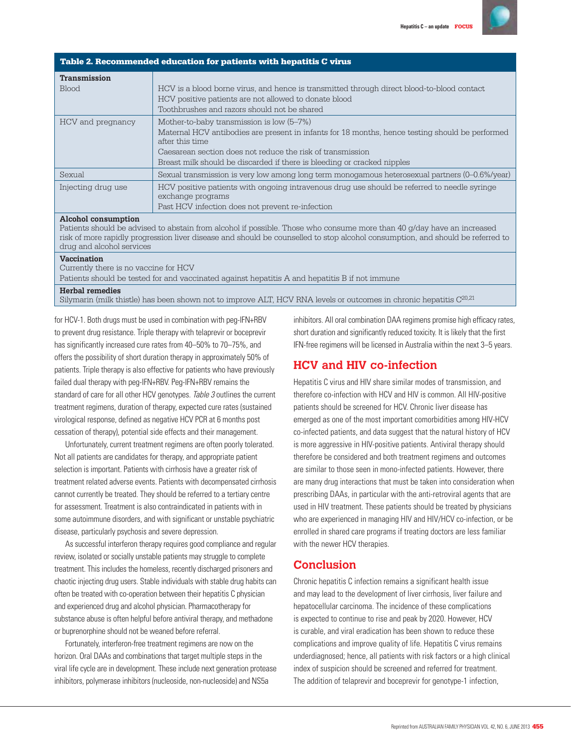

## Table 2. Recommended education for patients with hepatitis C virus

| <b>Transmission</b><br><b>Blood</b> | HCV is a blood borne virus, and hence is transmitted through direct blood-to-blood contact<br>HCV positive patients are not allowed to donate blood<br>Toothbrushes and razors should not be shared                                                                                                      |
|-------------------------------------|----------------------------------------------------------------------------------------------------------------------------------------------------------------------------------------------------------------------------------------------------------------------------------------------------------|
| HCV and pregnancy                   | Mother-to-baby transmission is low (5-7%)<br>Maternal HCV antibodies are present in infants for 18 months, hence testing should be performed<br>after this time<br>Caesarean section does not reduce the risk of transmission<br>Breast milk should be discarded if there is bleeding or cracked nipples |
| Sexual                              | Sexual transmission is very low among long term monogamous heterosexual partners (0-0.6%/year)                                                                                                                                                                                                           |
| Injecting drug use                  | HCV positive patients with ongoing intravenous drug use should be referred to needle syringe<br>exchange programs<br>Past HCV infection does not prevent re-infection                                                                                                                                    |

#### **Alcohol consumption**

Patients should be advised to abstain from alcohol if possible. Those who consume more than 40 g/day have an increased risk of more rapidly progression liver disease and should be counselled to stop alcohol consumption, and should be referred to drug and alcohol services

#### **Vaccination**

Currently there is no vaccine for HCV

Patients should be tested for and vaccinated against hepatitis A and hepatitis B if not immune

#### **Herbal remedies**

Silymarin (milk thistle) has been shown not to improve ALT, HCV RNA levels or outcomes in chronic hepatitis C<sup>20,21</sup>

for HCV-1. Both drugs must be used in combination with peg-IFN+RBV to prevent drug resistance. Triple therapy with telaprevir or boceprevir has significantly increased cure rates from 40–50% to 70–75%, and offers the possibility of short duration therapy in approximately 50% of patients. Triple therapy is also effective for patients who have previously failed dual therapy with peg-IFN+RBV. Peg-IFN+RBV remains the standard of care for all other HCV genotypes. Table 3 outlines the current treatment regimens, duration of therapy, expected cure rates (sustained virological response, defined as negative HCV PCR at 6 months post cessation of therapy), potential side effects and their management.

Unfortunately, current treatment regimens are often poorly tolerated. Not all patients are candidates for therapy, and appropriate patient selection is important. Patients with cirrhosis have a greater risk of treatment related adverse events. Patients with decompensated cirrhosis cannot currently be treated. They should be referred to a tertiary centre for assessment. Treatment is also contraindicated in patients with in some autoimmune disorders, and with significant or unstable psychiatric disease, particularly psychosis and severe depression.

As successful interferon therapy requires good compliance and regular review, isolated or socially unstable patients may struggle to complete treatment. This includes the homeless, recently discharged prisoners and chaotic injecting drug users. Stable individuals with stable drug habits can often be treated with co-operation between their hepatitis C physician and experienced drug and alcohol physician. Pharmacotherapy for substance abuse is often helpful before antiviral therapy, and methadone or buprenorphine should not be weaned before referral.

Fortunately, interferon-free treatment regimens are now on the horizon. Oral DAAs and combinations that target multiple steps in the viral life cycle are in development. These include next generation protease inhibitors, polymerase inhibitors (nucleoside, non-nucleoside) and NS5a

inhibitors. All oral combination DAA regimens promise high efficacy rates, short duration and significantly reduced toxicity. It is likely that the first IFN-free regimens will be licensed in Australia within the next 3–5 years.

# **HCV and HIV co-infection**

Hepatitis C virus and HIV share similar modes of transmission, and therefore co-infection with HCV and HIV is common. All HIV-positive patients should be screened for HCV. Chronic liver disease has emerged as one of the most important comorbidities among HIV-HCV co-infected patients, and data suggest that the natural history of HCV is more aggressive in HIV-positive patients. Antiviral therapy should therefore be considered and both treatment regimens and outcomes are similar to those seen in mono-infected patients. However, there are many drug interactions that must be taken into consideration when prescribing DAAs, in particular with the anti-retroviral agents that are used in HIV treatment. These patients should be treated by physicians who are experienced in managing HIV and HIV/HCV co-infection, or be enrolled in shared care programs if treating doctors are less familiar with the newer HCV therapies.

## **Conclusion**

Chronic hepatitis C infection remains a significant health issue and may lead to the development of liver cirrhosis, liver failure and hepatocellular carcinoma. The incidence of these complications is expected to continue to rise and peak by 2020. However, HCV is curable, and viral eradication has been shown to reduce these complications and improve quality of life. Hepatitis C virus remains underdiagnosed; hence, all patients with risk factors or a high clinical index of suspicion should be screened and referred for treatment. The addition of telaprevir and boceprevir for genotype-1 infection,